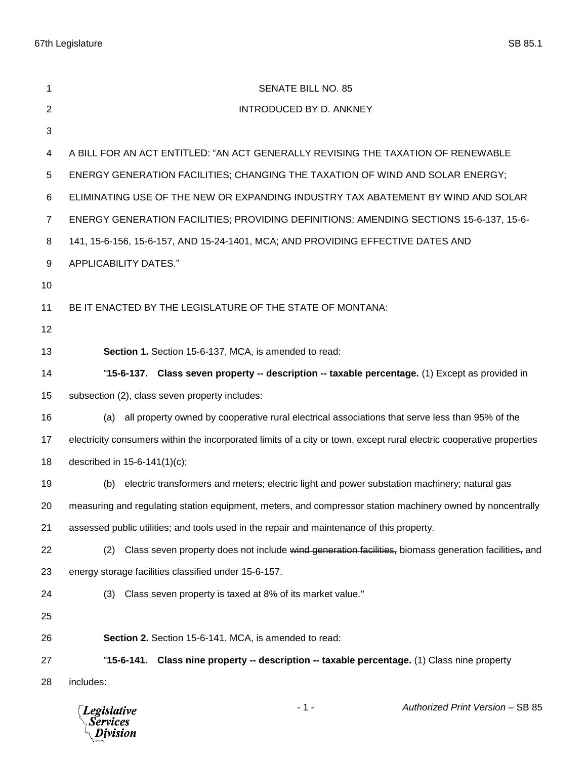Division

| 1                                                                                  | <b>SENATE BILL NO. 85</b>                                                                                            |  |  |
|------------------------------------------------------------------------------------|----------------------------------------------------------------------------------------------------------------------|--|--|
| $\overline{2}$                                                                     | INTRODUCED BY D. ANKNEY                                                                                              |  |  |
| 3                                                                                  |                                                                                                                      |  |  |
| 4                                                                                  | A BILL FOR AN ACT ENTITLED: "AN ACT GENERALLY REVISING THE TAXATION OF RENEWABLE                                     |  |  |
| 5                                                                                  | ENERGY GENERATION FACILITIES; CHANGING THE TAXATION OF WIND AND SOLAR ENERGY;                                        |  |  |
| 6                                                                                  | ELIMINATING USE OF THE NEW OR EXPANDING INDUSTRY TAX ABATEMENT BY WIND AND SOLAR                                     |  |  |
| $\overline{7}$                                                                     | ENERGY GENERATION FACILITIES; PROVIDING DEFINITIONS; AMENDING SECTIONS 15-6-137, 15-6-                               |  |  |
| 8                                                                                  | 141, 15-6-156, 15-6-157, AND 15-24-1401, MCA; AND PROVIDING EFFECTIVE DATES AND                                      |  |  |
| 9                                                                                  | APPLICABILITY DATES."                                                                                                |  |  |
| 10                                                                                 |                                                                                                                      |  |  |
| 11                                                                                 | BE IT ENACTED BY THE LEGISLATURE OF THE STATE OF MONTANA:                                                            |  |  |
| 12                                                                                 |                                                                                                                      |  |  |
| 13                                                                                 | Section 1. Section 15-6-137, MCA, is amended to read:                                                                |  |  |
| 14                                                                                 | "15-6-137. Class seven property -- description -- taxable percentage. (1) Except as provided in                      |  |  |
| 15                                                                                 | subsection (2), class seven property includes:                                                                       |  |  |
| 16                                                                                 | all property owned by cooperative rural electrical associations that serve less than 95% of the<br>(a)               |  |  |
| 17                                                                                 | electricity consumers within the incorporated limits of a city or town, except rural electric cooperative properties |  |  |
| 18                                                                                 | described in 15-6-141(1)(c);                                                                                         |  |  |
| 19                                                                                 | electric transformers and meters; electric light and power substation machinery; natural gas<br>(b)                  |  |  |
| 20                                                                                 | measuring and regulating station equipment, meters, and compressor station machinery owned by noncentrally           |  |  |
| 21                                                                                 | assessed public utilities; and tools used in the repair and maintenance of this property.                            |  |  |
| 22                                                                                 | Class seven property does not include wind generation facilities, biomass generation facilities, and<br>(2)          |  |  |
| 23                                                                                 | energy storage facilities classified under 15-6-157.                                                                 |  |  |
| 24                                                                                 | Class seven property is taxed at 8% of its market value."<br>(3)                                                     |  |  |
| 25                                                                                 |                                                                                                                      |  |  |
| 26                                                                                 | Section 2. Section 15-6-141, MCA, is amended to read:                                                                |  |  |
| 27                                                                                 | "15-6-141. Class nine property -- description -- taxable percentage. (1) Class nine property                         |  |  |
| 28                                                                                 | includes:                                                                                                            |  |  |
| $-1-$<br>Authorized Print Version - SB 85<br><b>Legislative</b><br><b>Services</b> |                                                                                                                      |  |  |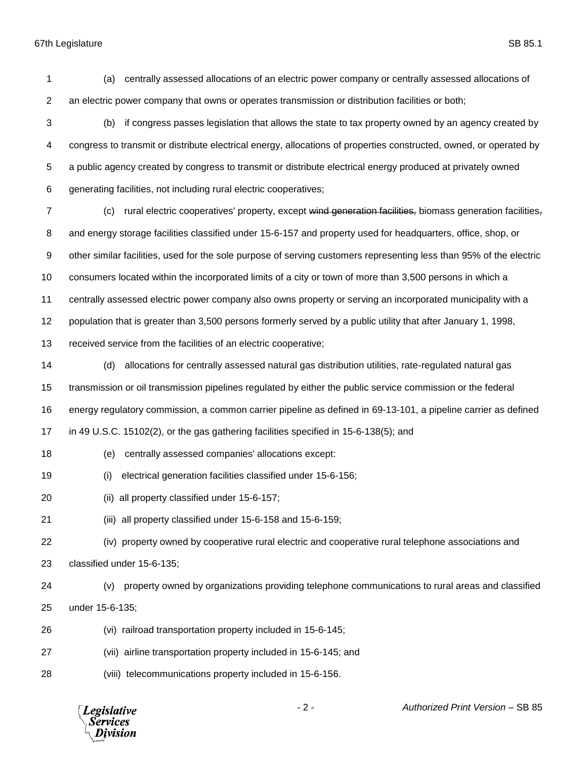(a) centrally assessed allocations of an electric power company or centrally assessed allocations of an electric power company that owns or operates transmission or distribution facilities or both;

- (b) if congress passes legislation that allows the state to tax property owned by an agency created by congress to transmit or distribute electrical energy, allocations of properties constructed, owned, or operated by a public agency created by congress to transmit or distribute electrical energy produced at privately owned generating facilities, not including rural electric cooperatives;
- 7 (c) rural electric cooperatives' property, except wind generation facilities, biomass generation facilities, and energy storage facilities classified under 15-6-157 and property used for headquarters, office, shop, or other similar facilities, used for the sole purpose of serving customers representing less than 95% of the electric consumers located within the incorporated limits of a city or town of more than 3,500 persons in which a centrally assessed electric power company also owns property or serving an incorporated municipality with a population that is greater than 3,500 persons formerly served by a public utility that after January 1, 1998,

received service from the facilities of an electric cooperative;

- (d) allocations for centrally assessed natural gas distribution utilities, rate-regulated natural gas transmission or oil transmission pipelines regulated by either the public service commission or the federal energy regulatory commission, a common carrier pipeline as defined in 69-13-101, a pipeline carrier as defined in 49 U.S.C. 15102(2), or the gas gathering facilities specified in 15-6-138(5); and
- (e) centrally assessed companies' allocations except:
- (i) electrical generation facilities classified under 15-6-156;
- (ii) all property classified under 15-6-157;
- (iii) all property classified under 15-6-158 and 15-6-159;
- (iv) property owned by cooperative rural electric and cooperative rural telephone associations and classified under 15-6-135;
- (v) property owned by organizations providing telephone communications to rural areas and classified under 15-6-135;
- (vi) railroad transportation property included in 15-6-145;
- (vii) airline transportation property included in 15-6-145; and
- (viii) telecommunications property included in 15-6-156.

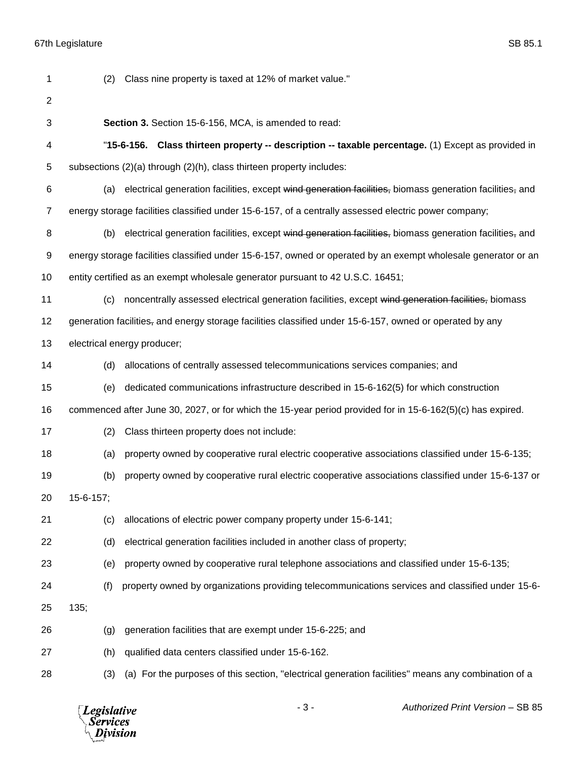| 1              | (2)       | Class nine property is taxed at 12% of market value."                                                         |
|----------------|-----------|---------------------------------------------------------------------------------------------------------------|
| $\overline{2}$ |           |                                                                                                               |
| 3              |           | Section 3. Section 15-6-156, MCA, is amended to read:                                                         |
| 4              |           | "15-6-156. Class thirteen property -- description -- taxable percentage. (1) Except as provided in            |
| 5              |           | subsections (2)(a) through (2)(h), class thirteen property includes:                                          |
| 6              | (a)       | electrical generation facilities, except wind generation facilities, biomass generation facilities, and       |
| $\overline{7}$ |           | energy storage facilities classified under 15-6-157, of a centrally assessed electric power company;          |
| 8              | (b)       | electrical generation facilities, except wind generation facilities, biomass generation facilities, and       |
| 9              |           | energy storage facilities classified under 15-6-157, owned or operated by an exempt wholesale generator or an |
| 10             |           | entity certified as an exempt wholesale generator pursuant to 42 U.S.C. 16451;                                |
| 11             | (c)       | noncentrally assessed electrical generation facilities, except wind generation facilities, biomass            |
| 12             |           | generation facilities, and energy storage facilities classified under 15-6-157, owned or operated by any      |
| 13             |           | electrical energy producer;                                                                                   |
| 14             | (d)       | allocations of centrally assessed telecommunications services companies; and                                  |
| 15             | (e)       | dedicated communications infrastructure described in 15-6-162(5) for which construction                       |
| 16             |           | commenced after June 30, 2027, or for which the 15-year period provided for in 15-6-162(5)(c) has expired.    |
| 17             | (2)       | Class thirteen property does not include:                                                                     |
| 18             | (a)       | property owned by cooperative rural electric cooperative associations classified under 15-6-135;              |
| 19             | (b)       | property owned by cooperative rural electric cooperative associations classified under 15-6-137 or            |
| 20             | 15-6-157; |                                                                                                               |
| 21             | (c)       | allocations of electric power company property under 15-6-141;                                                |
| 22             | (d)       | electrical generation facilities included in another class of property;                                       |
| 23             | (e)       | property owned by cooperative rural telephone associations and classified under 15-6-135;                     |
| 24             | (f)       | property owned by organizations providing telecommunications services and classified under 15-6-              |
| 25             | 135;      |                                                                                                               |
| 26             | (g)       | generation facilities that are exempt under 15-6-225; and                                                     |
| 27             | (h)       | qualified data centers classified under 15-6-162.                                                             |
| 28             | (3)       | (a) For the purposes of this section, "electrical generation facilities" means any combination of a           |

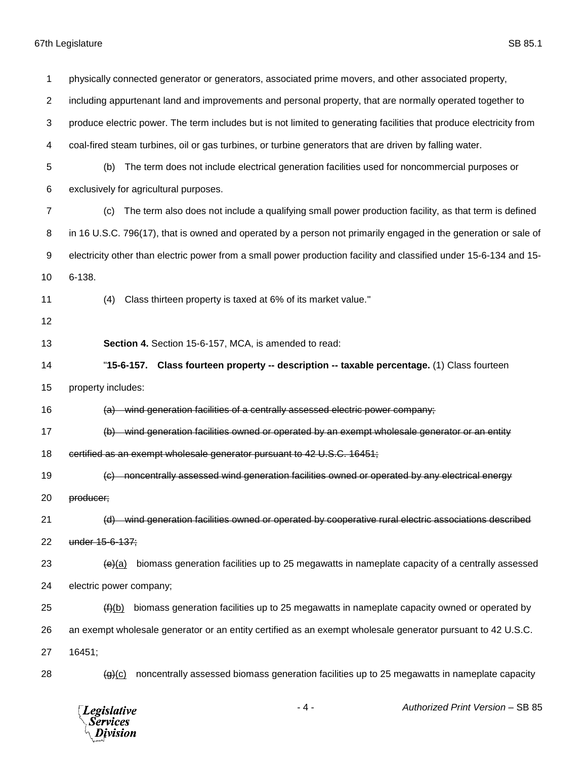physically connected generator or generators, associated prime movers, and other associated property, including appurtenant land and improvements and personal property, that are normally operated together to produce electric power. The term includes but is not limited to generating facilities that produce electricity from coal-fired steam turbines, oil or gas turbines, or turbine generators that are driven by falling water. (b) The term does not include electrical generation facilities used for noncommercial purposes or exclusively for agricultural purposes. (c) The term also does not include a qualifying small power production facility, as that term is defined in 16 U.S.C. 796(17), that is owned and operated by a person not primarily engaged in the generation or sale of electricity other than electric power from a small power production facility and classified under 15-6-134 and 15- 6-138. (4) Class thirteen property is taxed at 6% of its market value." **Section 4.** Section 15-6-157, MCA, is amended to read: "**15-6-157. Class fourteen property -- description -- taxable percentage.** (1) Class fourteen property includes: 16 (a) wind generation facilities of a centrally assessed electric power company; (b) wind generation facilities owned or operated by an exempt wholesale generator or an entity 18 certified as an exempt wholesale generator pursuant to 42 U.S.C. 16451; (c) noncentrally assessed wind generation facilities owned or operated by any electrical energy producer; (d) wind generation facilities owned or operated by cooperative rural electric associations described under 15-6-137;  $\leftrightarrow$  (e)(a) biomass generation facilities up to 25 megawatts in nameplate capacity of a centrally assessed electric power company; 25 (f)(b) biomass generation facilities up to 25 megawatts in nameplate capacity owned or operated by an exempt wholesale generator or an entity certified as an exempt wholesale generator pursuant to 42 U.S.C. 16451;  $\left(\frac{q}{r}\right)$  noncentrally assessed biomass generation facilities up to 25 megawatts in nameplate capacity

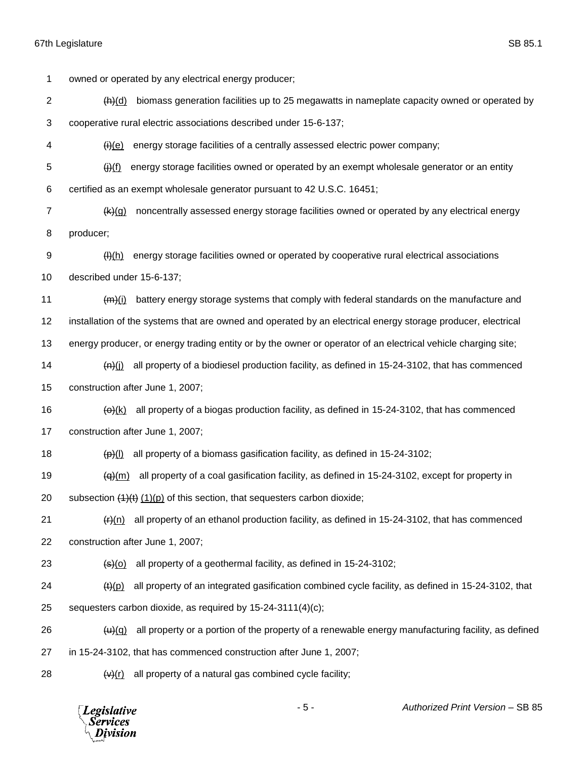owned or operated by any electrical energy producer; (h)(d) biomass generation facilities up to 25 megawatts in nameplate capacity owned or operated by cooperative rural electric associations described under 15-6-137;  $\mathcal{H}$  (i)(e) energy storage facilities of a centrally assessed electric power company;  $\frac{f}{f}$  energy storage facilities owned or operated by an exempt wholesale generator or an entity certified as an exempt wholesale generator pursuant to 42 U.S.C. 16451; (k)(g) noncentrally assessed energy storage facilities owned or operated by any electrical energy producer; 9 (H(h) energy storage facilities owned or operated by cooperative rural electrical associations described under 15-6-137;  $(m)(i)$  battery energy storage systems that comply with federal standards on the manufacture and installation of the systems that are owned and operated by an electrical energy storage producer, electrical energy producer, or energy trading entity or by the owner or operator of an electrical vehicle charging site;  $(n)(j)$  all property of a biodiesel production facility, as defined in 15-24-3102, that has commenced construction after June 1, 2007;  $(a)$  (k) all property of a biogas production facility, as defined in 15-24-3102, that has commenced construction after June 1, 2007;  $\left(\frac{1}{2}\right)$  all property of a biomass gasification facility, as defined in 15-24-3102;  $(a)$  (a)(m) all property of a coal gasification facility, as defined in 15-24-3102, except for property in 20 subsection  $(1)(t)$  (1)(p) of this section, that sequesters carbon dioxide;  $\left(\frac{f}{f}\right)(n)$  all property of an ethanol production facility, as defined in 15-24-3102, that has commenced construction after June 1, 2007;  $\left(\frac{1}{2}\right)$  (all property of a geothermal facility, as defined in 15-24-3102; (t)(p) all property of an integrated gasification combined cycle facility, as defined in 15-24-3102, that sequesters carbon dioxide, as required by 15-24-3111(4)(c);  $(u)(q)$  all property or a portion of the property of a renewable energy manufacturing facility, as defined in 15-24-3102, that has commenced construction after June 1, 2007;  $(v)(r)$  all property of a natural gas combined cycle facility;

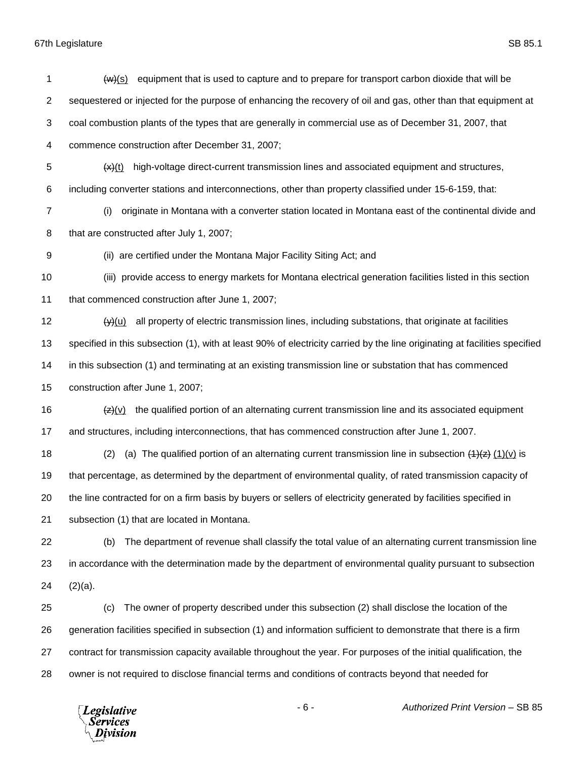$(w)(s)$  equipment that is used to capture and to prepare for transport carbon dioxide that will be sequestered or injected for the purpose of enhancing the recovery of oil and gas, other than that equipment at coal combustion plants of the types that are generally in commercial use as of December 31, 2007, that commence construction after December 31, 2007;  $\frac{1}{x}(x)$  (x) high-voltage direct-current transmission lines and associated equipment and structures, including converter stations and interconnections, other than property classified under 15-6-159, that: (i) originate in Montana with a converter station located in Montana east of the continental divide and that are constructed after July 1, 2007; (ii) are certified under the Montana Major Facility Siting Act; and (iii) provide access to energy markets for Montana electrical generation facilities listed in this section that commenced construction after June 1, 2007;  $(y)(u)$  all property of electric transmission lines, including substations, that originate at facilities specified in this subsection (1), with at least 90% of electricity carried by the line originating at facilities specified in this subsection (1) and terminating at an existing transmission line or substation that has commenced construction after June 1, 2007;  $\left( \frac{1}{2}(v) \right)$  the qualified portion of an alternating current transmission line and its associated equipment and structures, including interconnections, that has commenced construction after June 1, 2007. 18 (2) (a) The qualified portion of an alternating current transmission line in subsection  $(1)(x)$  is that percentage, as determined by the department of environmental quality, of rated transmission capacity of the line contracted for on a firm basis by buyers or sellers of electricity generated by facilities specified in subsection (1) that are located in Montana. (b) The department of revenue shall classify the total value of an alternating current transmission line in accordance with the determination made by the department of environmental quality pursuant to subsection  $(2)(a)$ . (c) The owner of property described under this subsection (2) shall disclose the location of the generation facilities specified in subsection (1) and information sufficient to demonstrate that there is a firm contract for transmission capacity available throughout the year. For purposes of the initial qualification, the owner is not required to disclose financial terms and conditions of contracts beyond that needed for



- 6 - *Authorized Print Version* – SB 85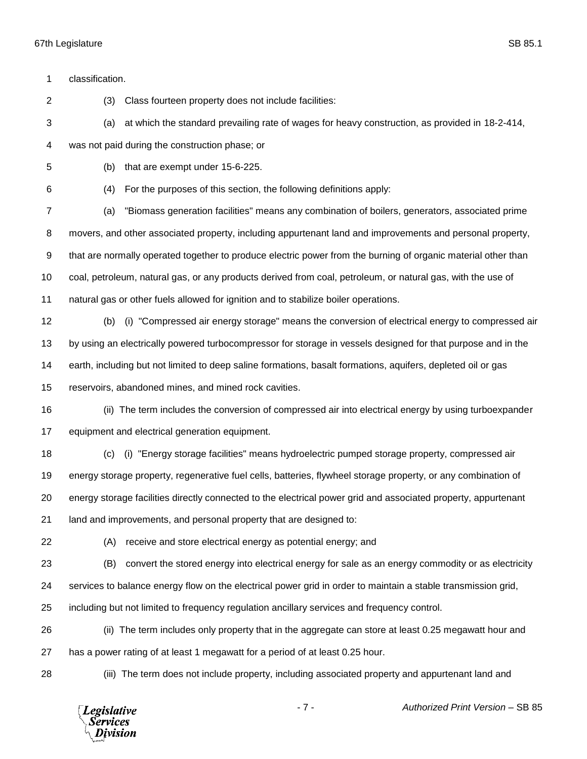classification. (3) Class fourteen property does not include facilities: (a) at which the standard prevailing rate of wages for heavy construction, as provided in 18-2-414, was not paid during the construction phase; or (b) that are exempt under 15-6-225. (4) For the purposes of this section, the following definitions apply: (a) "Biomass generation facilities" means any combination of boilers, generators, associated prime movers, and other associated property, including appurtenant land and improvements and personal property, that are normally operated together to produce electric power from the burning of organic material other than coal, petroleum, natural gas, or any products derived from coal, petroleum, or natural gas, with the use of natural gas or other fuels allowed for ignition and to stabilize boiler operations. (b) (i) "Compressed air energy storage" means the conversion of electrical energy to compressed air by using an electrically powered turbocompressor for storage in vessels designed for that purpose and in the earth, including but not limited to deep saline formations, basalt formations, aquifers, depleted oil or gas reservoirs, abandoned mines, and mined rock cavities. (ii) The term includes the conversion of compressed air into electrical energy by using turboexpander equipment and electrical generation equipment. (c) (i) "Energy storage facilities" means hydroelectric pumped storage property, compressed air energy storage property, regenerative fuel cells, batteries, flywheel storage property, or any combination of energy storage facilities directly connected to the electrical power grid and associated property, appurtenant land and improvements, and personal property that are designed to: (A) receive and store electrical energy as potential energy; and (B) convert the stored energy into electrical energy for sale as an energy commodity or as electricity services to balance energy flow on the electrical power grid in order to maintain a stable transmission grid, including but not limited to frequency regulation ancillary services and frequency control. (ii) The term includes only property that in the aggregate can store at least 0.25 megawatt hour and has a power rating of at least 1 megawatt for a period of at least 0.25 hour. (iii) The term does not include property, including associated property and appurtenant land and

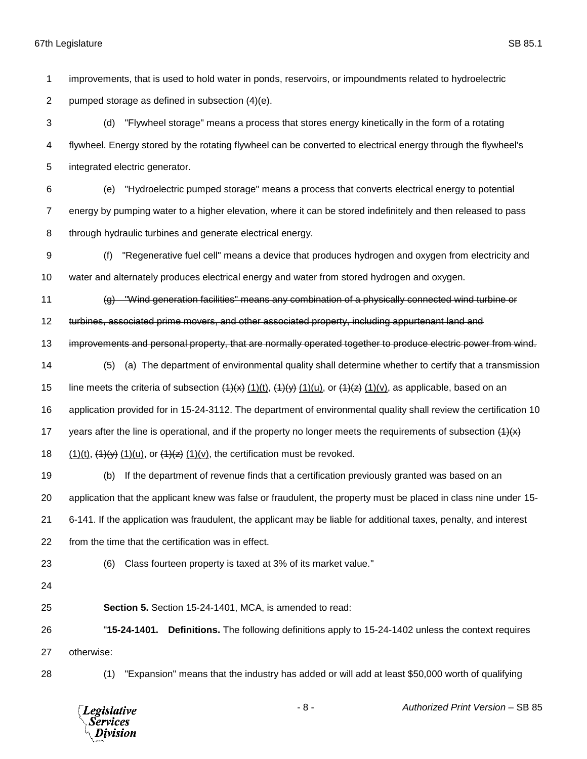improvements, that is used to hold water in ponds, reservoirs, or impoundments related to hydroelectric

pumped storage as defined in subsection (4)(e).

 (d) "Flywheel storage" means a process that stores energy kinetically in the form of a rotating flywheel. Energy stored by the rotating flywheel can be converted to electrical energy through the flywheel's integrated electric generator.

 (e) "Hydroelectric pumped storage" means a process that converts electrical energy to potential energy by pumping water to a higher elevation, where it can be stored indefinitely and then released to pass through hydraulic turbines and generate electrical energy.

 (f) "Regenerative fuel cell" means a device that produces hydrogen and oxygen from electricity and water and alternately produces electrical energy and water from stored hydrogen and oxygen.

(g) "Wind generation facilities" means any combination of a physically connected wind turbine or

turbines, associated prime movers, and other associated property, including appurtenant land and

13 improvements and personal property, that are normally operated together to produce electric power from wind.

(5) (a) The department of environmental quality shall determine whether to certify that a transmission

15 line meets the criteria of subsection  $(1)(x)$ ,  $(1)(t)$ ,  $(1)(y)$ ,  $(1)(u)$ , or  $(1)(x)$ ,  $(1)(v)$ , as applicable, based on an

application provided for in 15-24-3112. The department of environmental quality shall review the certification 10

17 years after the line is operational, and if the property no longer meets the requirements of subsection  $(1)(x)$ 

18  $(1)(t)$ ,  $(1)(y)$   $(1)(u)$ , or  $(1)(z)$   $(1)(v)$ , the certification must be revoked.

 (b) If the department of revenue finds that a certification previously granted was based on an application that the applicant knew was false or fraudulent, the property must be placed in class nine under 15- 6-141. If the application was fraudulent, the applicant may be liable for additional taxes, penalty, and interest from the time that the certification was in effect.

(6) Class fourteen property is taxed at 3% of its market value."

**Section 5.** Section 15-24-1401, MCA, is amended to read:

 "**15-24-1401. Definitions.** The following definitions apply to 15-24-1402 unless the context requires otherwise:

(1) "Expansion" means that the industry has added or will add at least \$50,000 worth of qualifying

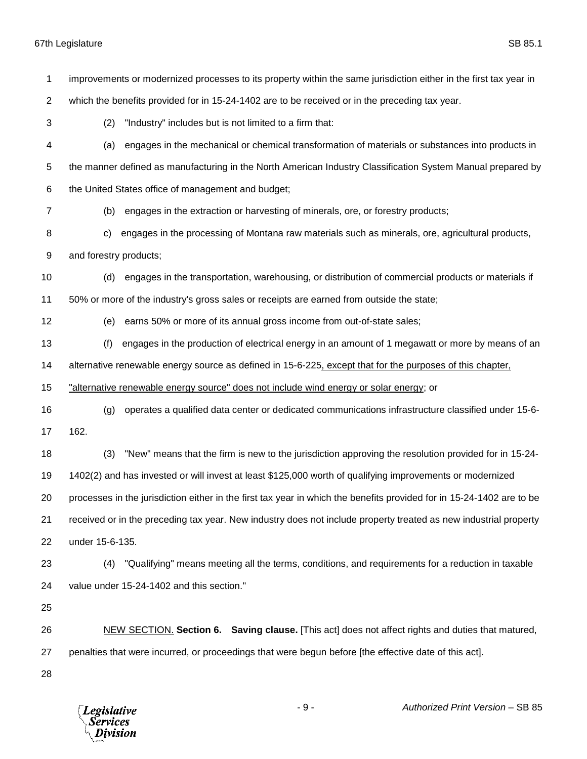| 1              | improvements or modernized processes to its property within the same jurisdiction either in the first tax year in     |  |  |
|----------------|-----------------------------------------------------------------------------------------------------------------------|--|--|
|                |                                                                                                                       |  |  |
| $\overline{c}$ | which the benefits provided for in 15-24-1402 are to be received or in the preceding tax year.                        |  |  |
| 3              | "Industry" includes but is not limited to a firm that:<br>(2)                                                         |  |  |
| 4              | engages in the mechanical or chemical transformation of materials or substances into products in<br>(a)               |  |  |
| 5              | the manner defined as manufacturing in the North American Industry Classification System Manual prepared by           |  |  |
| 6              | the United States office of management and budget;                                                                    |  |  |
| 7              | engages in the extraction or harvesting of minerals, ore, or forestry products;<br>(b)                                |  |  |
| 8              | engages in the processing of Montana raw materials such as minerals, ore, agricultural products,<br>C)                |  |  |
| 9              | and forestry products;                                                                                                |  |  |
| 10             | engages in the transportation, warehousing, or distribution of commercial products or materials if<br>(d)             |  |  |
| 11             | 50% or more of the industry's gross sales or receipts are earned from outside the state;                              |  |  |
| 12             | earns 50% or more of its annual gross income from out-of-state sales;<br>(e)                                          |  |  |
| 13             | engages in the production of electrical energy in an amount of 1 megawatt or more by means of an<br>(f)               |  |  |
| 14             | alternative renewable energy source as defined in 15-6-225, except that for the purposes of this chapter,             |  |  |
| 15             | "alternative renewable energy source" does not include wind energy or solar energy; or                                |  |  |
| 16             | operates a qualified data center or dedicated communications infrastructure classified under 15-6-<br>(g)             |  |  |
| 17             | 162.                                                                                                                  |  |  |
| 18             | "New" means that the firm is new to the jurisdiction approving the resolution provided for in 15-24-<br>(3)           |  |  |
| 19             | 1402(2) and has invested or will invest at least \$125,000 worth of qualifying improvements or modernized             |  |  |
| 20             | processes in the jurisdiction either in the first tax year in which the benefits provided for in 15-24-1402 are to be |  |  |
| 21             | received or in the preceding tax year. New industry does not include property treated as new industrial property      |  |  |
| 22             | under 15-6-135.                                                                                                       |  |  |
| 23             | "Qualifying" means meeting all the terms, conditions, and requirements for a reduction in taxable<br>(4)              |  |  |
| 24             | value under 15-24-1402 and this section."                                                                             |  |  |
| 25             |                                                                                                                       |  |  |
| 26             | NEW SECTION. Section 6. Saving clause. [This act] does not affect rights and duties that matured,                     |  |  |
| 27             | penalties that were incurred, or proceedings that were begun before [the effective date of this act].                 |  |  |
| 28             |                                                                                                                       |  |  |
|                |                                                                                                                       |  |  |
|                | $\sim$ d Drint Varaion CD OF                                                                                          |  |  |